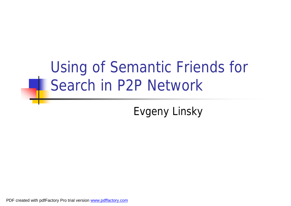#### Using of Semantic Friends for Search in P2P Network

Evgeny Linsky

PDF created with pdfFactory Pro trial version [www.pdffactory.com](http://www.pdffactory.com)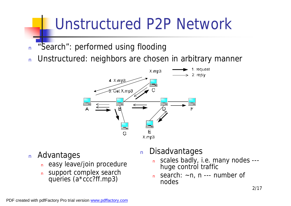#### Unstructured P2P Network

- n "Search": performed using flooding
- n Unstructured: neighbors are chosen in arbitrary manner



- <sup>n</sup> Advantages
	- <sup>n</sup> easy leave/join procedure
	- n support complex search queries (a\*ccc?ff.mp3)
- <sup>n</sup> Disadvantages
	- <sup>n</sup> scales badly, i.e. many nodes -- huge control traffic
	- n search:  $\sim$ n, n --- number of nodes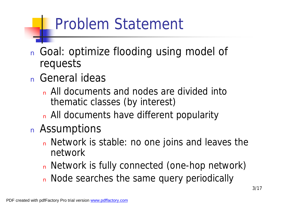### Problem Statement

- <sup>n</sup> Goal: optimize flooding using model of requests
- <sup>n</sup> General ideas
	- n All documents and nodes are divided into thematic classes (by interest)
	- n All documents have different popularity
- <sup>n</sup> Assumptions
	- n Network is stable: no one joins and leaves the network
	- n Network is fully connected (one-hop network)
	- n Node searches the same query periodically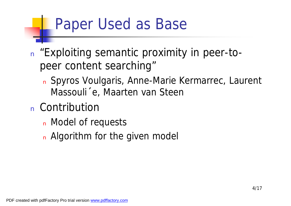#### Paper Used as Base

- n "Exploiting semantic proximity in peer-topeer content searching"
	- <sup>n</sup> Spyros Voulgaris, Anne-Marie Kermarrec, Laurent Massouli´ e, Maarten van Steen
- <sup>n</sup> Contribution
	- n Model of requests
	- n Algorithm for the given model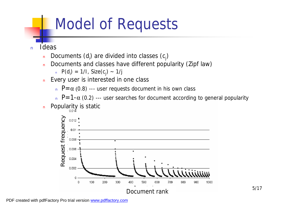#### Model of Requests

<sup>n</sup> Ideas

- n Documents (d<sub>i</sub>) are divided into classes (c<sub>j</sub>)
- n Documents and classes have different popularity (Zipf law)

$$
P(d_i) = 1/I, \text{Size}(c_j) \sim 1/j
$$

- n Every user is interested in one class
	- n  $P=\alpha$  (0.8) --- user requests document in his own class

n  $P=1-\alpha$  (0.2) --- user searches for document according to general popularity

**n** Popularity is static

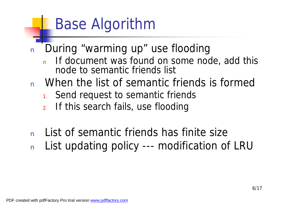### Base Algorithm

- <sup>n</sup> During "warming up" use flooding
	- If document was found on some node, add this node to semantic friends list
- n When the list of semantic friends is formed
	- 1. Send request to semantic friends
	- 2. If this search fails, use flooding
- n List of semantic friends has finite size n List updating policy --- modification of LRU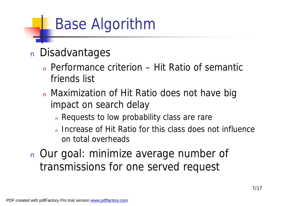### Base Algorithm

#### <sup>n</sup> Disadvantages

- <sup>n</sup> Performance criterion Hit Ratio of semantic friends list
- n Maximization of Hit Ratio does not have big impact on search delay
	- n Requests to low probability class are rare
	- n Increase of Hit Ratio for this class does not influence on total overheads
- <sup>n</sup> Our goal: minimize average number of transmissions for one served request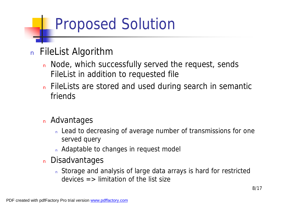### Proposed Solution

#### <sup>n</sup> FileList Algorithm

- n Node, which successfully served the request, sends FileList in addition to requested file
- n FileLists are stored and used during search in semantic friends

#### <sup>n</sup> Advantages

- n Lead to decreasing of average number of transmissions for one served query
- n Adaptable to changes in request model
- n Disadvantages
	- n Storage and analysis of large data arrays is hard for restricted devices  $\Rightarrow$  limitation of the list size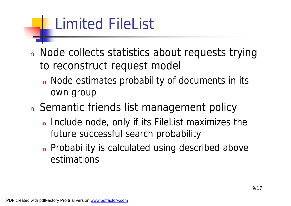# Limited FileList

- n Node collects statistics about requests trying to reconstruct request model
	- n Node estimates probability of documents in its own group
- n Semantic friends list management policy
	- n Include node, only if its FileList maximizes the future successful search probability
	- n Probability is calculated using described above estimations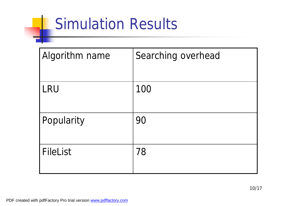### Simulation Results

| <b>Algorithm name</b> | Searching overhead |
|-----------------------|--------------------|
| <b>LRU</b>            | 100                |
| Popularity            | 90                 |
| <b>FileList</b>       | 78                 |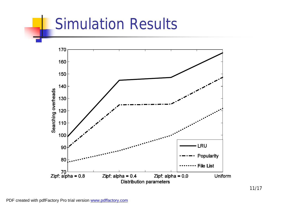#### Simulation Results

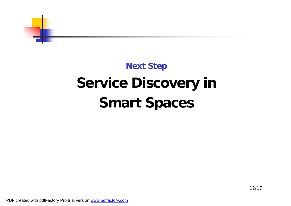

#### **Next Step Service Discovery in Smart Spaces**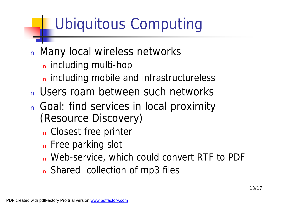# Ubiquitous Computing

- n Many local wireless networks
	- n including multi-hop
	- n including mobile and infrastructureless
- n Users roam between such networks
- n Goal: find services in local proximity (Resource Discovery)
	- n Closest free printer
	- n Free parking slot
	- n Web-service, which could convert RTF to PDF
	- n Shared collection of mp3 files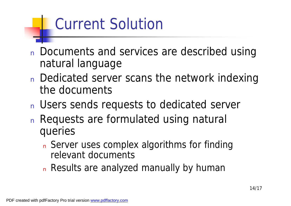# Current Solution

- n Documents and services are described using natural language
- n Dedicated server scans the network indexing the documents
- n Users sends requests to dedicated server
- <sup>n</sup> Requests are formulated using natural queries
	- n Server uses complex algorithms for finding relevant documents
	- n Results are analyzed manually by human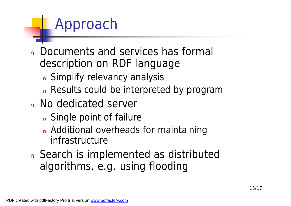#### Approach

- <sup>n</sup> Documents and services has formal description on RDF language
	- n Simplify relevancy analysis
	- n Results could be interpreted by program
- <sup>n</sup> No dedicated server
	- n Single point of failure
	- n Additional overheads for maintaining infrastructure
- n Search is implemented as distributed algorithms, e.g. using flooding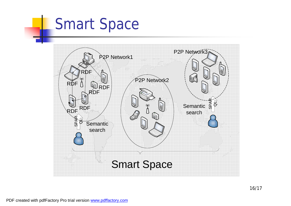#### Smart Space